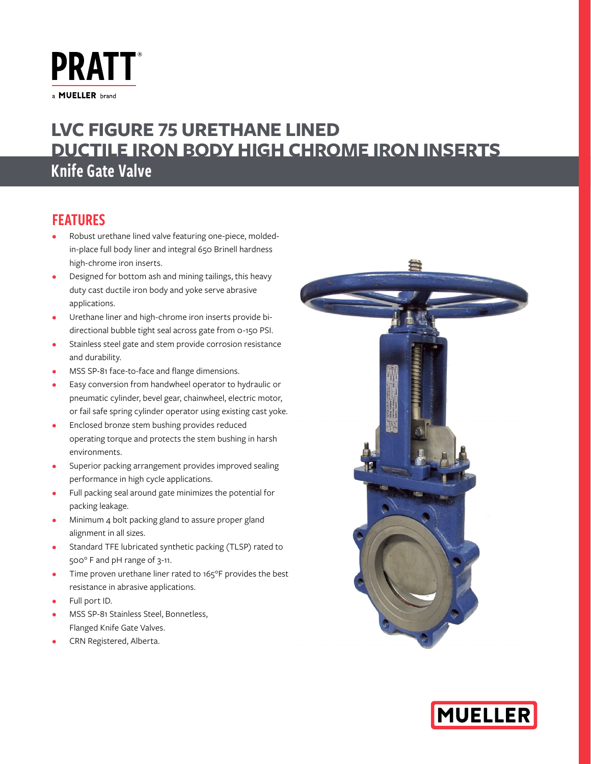**PRATT** a **MUELLER** brand

# Knife Gate Valve **LVC FIGURE 75 URETHANE LINED DUCTILE IRON BODY HIGH CHROME IRON INSERTS**

## FEATURES

- Robust urethane lined valve featuring one-piece, moldedin-place full body liner and integral 650 Brinell hardness high-chrome iron inserts.
- Designed for bottom ash and mining tailings, this heavy duty cast ductile iron body and yoke serve abrasive applications.
- Urethane liner and high-chrome iron inserts provide bidirectional bubble tight seal across gate from 0-150 PSI.
- Stainless steel gate and stem provide corrosion resistance and durability.
- MSS SP-81 face-to-face and flange dimensions.
- Easy conversion from handwheel operator to hydraulic or pneumatic cylinder, bevel gear, chainwheel, electric motor, or fail safe spring cylinder operator using existing cast yoke.
- Enclosed bronze stem bushing provides reduced operating torque and protects the stem bushing in harsh environments.
- Superior packing arrangement provides improved sealing performance in high cycle applications.
- Full packing seal around gate minimizes the potential for packing leakage.
- Minimum 4 bolt packing gland to assure proper gland alignment in all sizes.
- Standard TFE lubricated synthetic packing (TLSP) rated to 500° F and pH range of 3-11.
- Time proven urethane liner rated to 165°F provides the best resistance in abrasive applications.
- Full port ID.
- MSS SP-81 Stainless Steel, Bonnetless, Flanged Knife Gate Valves.
- CRN Registered, Alberta.